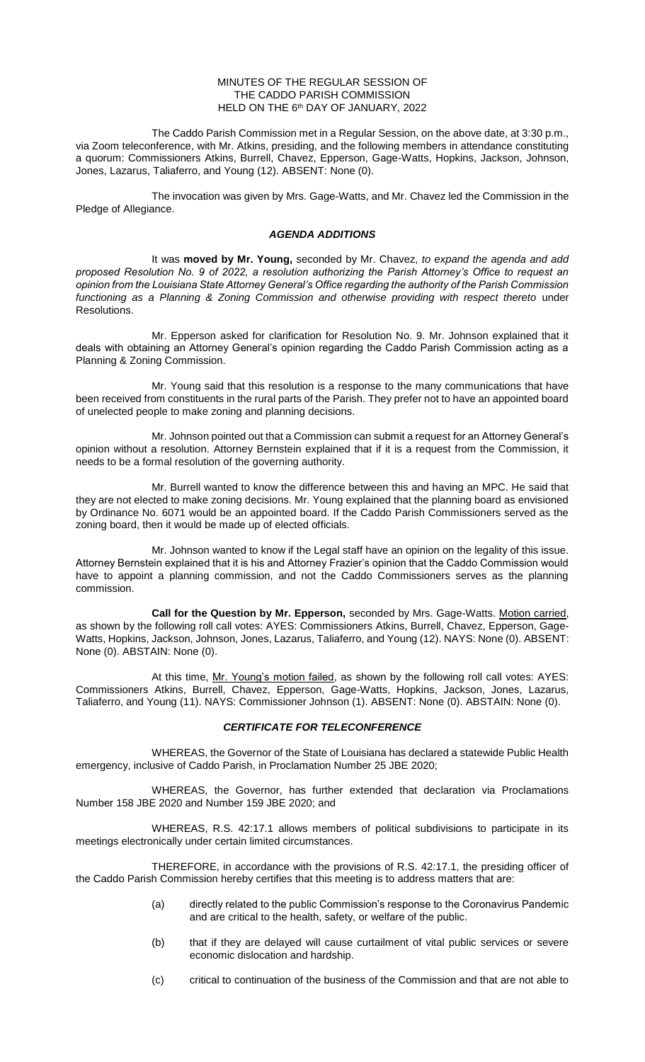### MINUTES OF THE REGULAR SESSION OF THE CADDO PARISH COMMISSION HELD ON THE 6<sup>th</sup> DAY OF JANUARY, 2022

The Caddo Parish Commission met in a Regular Session, on the above date, at 3:30 p.m., via Zoom teleconference, with Mr. Atkins, presiding, and the following members in attendance constituting a quorum: Commissioners Atkins, Burrell, Chavez, Epperson, Gage-Watts, Hopkins, Jackson, Johnson, Jones, Lazarus, Taliaferro, and Young (12). ABSENT: None (0).

The invocation was given by Mrs. Gage-Watts, and Mr. Chavez led the Commission in the Pledge of Allegiance.

## *AGENDA ADDITIONS*

It was **moved by Mr. Young,** seconded by Mr. Chavez, *to expand the agenda and add proposed Resolution No. 9 of 2022, a resolution authorizing the Parish Attorney's Office to request an opinion from the Louisiana State Attorney General's Office regarding the authority of the Parish Commission*  functioning as a Planning & Zoning Commission and otherwise providing with respect thereto under Resolutions.

Mr. Epperson asked for clarification for Resolution No. 9. Mr. Johnson explained that it deals with obtaining an Attorney General's opinion regarding the Caddo Parish Commission acting as a Planning & Zoning Commission.

Mr. Young said that this resolution is a response to the many communications that have been received from constituents in the rural parts of the Parish. They prefer not to have an appointed board of unelected people to make zoning and planning decisions.

Mr. Johnson pointed out that a Commission can submit a request for an Attorney General's opinion without a resolution. Attorney Bernstein explained that if it is a request from the Commission, it needs to be a formal resolution of the governing authority.

Mr. Burrell wanted to know the difference between this and having an MPC. He said that they are not elected to make zoning decisions. Mr. Young explained that the planning board as envisioned by Ordinance No. 6071 would be an appointed board. If the Caddo Parish Commissioners served as the zoning board, then it would be made up of elected officials.

Mr. Johnson wanted to know if the Legal staff have an opinion on the legality of this issue. Attorney Bernstein explained that it is his and Attorney Frazier's opinion that the Caddo Commission would have to appoint a planning commission, and not the Caddo Commissioners serves as the planning commission.

**Call for the Question by Mr. Epperson,** seconded by Mrs. Gage-Watts. Motion carried, as shown by the following roll call votes: AYES: Commissioners Atkins, Burrell, Chavez, Epperson, Gage-Watts, Hopkins, Jackson, Johnson, Jones, Lazarus, Taliaferro, and Young (12). NAYS: None (0). ABSENT: None (0). ABSTAIN: None (0).

At this time, Mr. Young's motion failed, as shown by the following roll call votes: AYES: Commissioners Atkins, Burrell, Chavez, Epperson, Gage-Watts, Hopkins, Jackson, Jones, Lazarus, Taliaferro, and Young (11). NAYS: Commissioner Johnson (1). ABSENT: None (0). ABSTAIN: None (0).

## *CERTIFICATE FOR TELECONFERENCE*

WHEREAS, the Governor of the State of Louisiana has declared a statewide Public Health emergency, inclusive of Caddo Parish, in Proclamation Number 25 JBE 2020;

WHEREAS, the Governor, has further extended that declaration via Proclamations Number 158 JBE 2020 and Number 159 JBE 2020; and

WHEREAS, R.S. 42:17.1 allows members of political subdivisions to participate in its meetings electronically under certain limited circumstances.

THEREFORE, in accordance with the provisions of R.S. 42:17.1, the presiding officer of the Caddo Parish Commission hereby certifies that this meeting is to address matters that are:

- (a) directly related to the public Commission's response to the Coronavirus Pandemic and are critical to the health, safety, or welfare of the public.
- (b) that if they are delayed will cause curtailment of vital public services or severe economic dislocation and hardship.
- (c) critical to continuation of the business of the Commission and that are not able to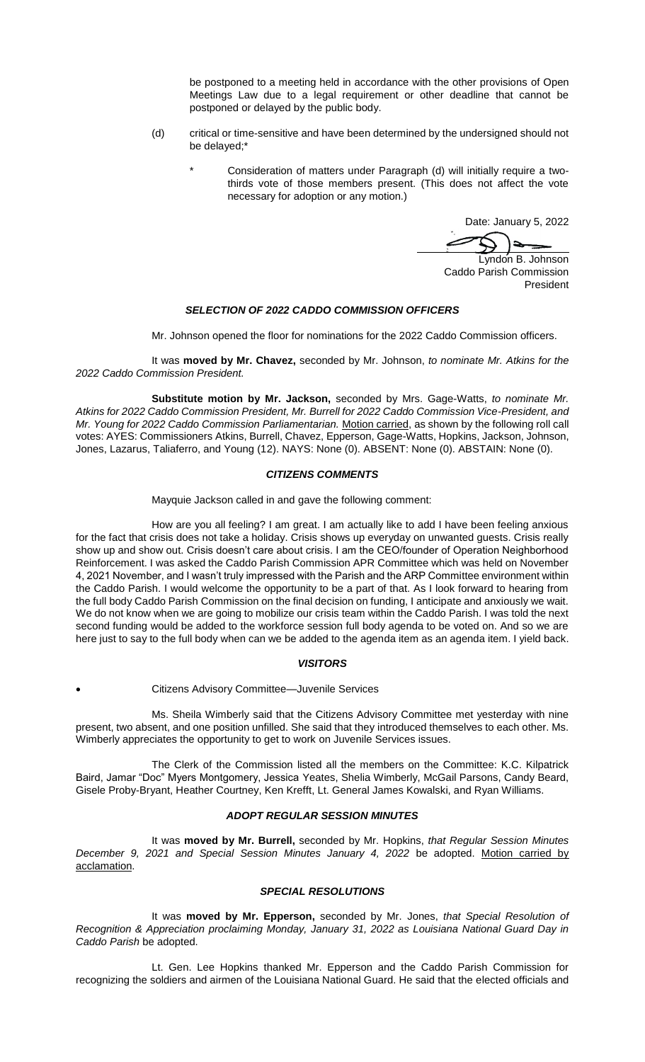be postponed to a meeting held in accordance with the other provisions of Open Meetings Law due to a legal requirement or other deadline that cannot be postponed or delayed by the public body.

- (d) critical or time-sensitive and have been determined by the undersigned should not be delayed;\*
	- Consideration of matters under Paragraph (d) will initially require a twothirds vote of those members present. (This does not affect the vote necessary for adoption or any motion.)

Date: January 5, 2022

Lyndon B. Johnson Caddo Parish Commission President

## *SELECTION OF 2022 CADDO COMMISSION OFFICERS*

Mr. Johnson opened the floor for nominations for the 2022 Caddo Commission officers.

It was **moved by Mr. Chavez,** seconded by Mr. Johnson, *to nominate Mr. Atkins for the 2022 Caddo Commission President.* 

**Substitute motion by Mr. Jackson,** seconded by Mrs. Gage-Watts, *to nominate Mr. Atkins for 2022 Caddo Commission President, Mr. Burrell for 2022 Caddo Commission Vice-President, and Mr. Young for 2022 Caddo Commission Parliamentarian.* Motion carried, as shown by the following roll call votes: AYES: Commissioners Atkins, Burrell, Chavez, Epperson, Gage-Watts, Hopkins, Jackson, Johnson, Jones, Lazarus, Taliaferro, and Young (12). NAYS: None (0). ABSENT: None (0). ABSTAIN: None (0).

## *CITIZENS COMMENTS*

Mayquie Jackson called in and gave the following comment:

How are you all feeling? I am great. I am actually like to add I have been feeling anxious for the fact that crisis does not take a holiday. Crisis shows up everyday on unwanted guests. Crisis really show up and show out. Crisis doesn't care about crisis. I am the CEO/founder of Operation Neighborhood Reinforcement. I was asked the Caddo Parish Commission APR Committee which was held on November 4, 2021 November, and I wasn't truly impressed with the Parish and the ARP Committee environment within the Caddo Parish. I would welcome the opportunity to be a part of that. As I look forward to hearing from the full body Caddo Parish Commission on the final decision on funding, I anticipate and anxiously we wait. We do not know when we are going to mobilize our crisis team within the Caddo Parish. I was told the next second funding would be added to the workforce session full body agenda to be voted on. And so we are here just to say to the full body when can we be added to the agenda item as an agenda item. I yield back.

### *VISITORS*

### • Citizens Advisory Committee—Juvenile Services

Ms. Sheila Wimberly said that the Citizens Advisory Committee met yesterday with nine present, two absent, and one position unfilled. She said that they introduced themselves to each other. Ms. Wimberly appreciates the opportunity to get to work on Juvenile Services issues.

The Clerk of the Commission listed all the members on the Committee: K.C. Kilpatrick Baird, Jamar "Doc" Myers Montgomery, Jessica Yeates, Shelia Wimberly, McGail Parsons, Candy Beard, Gisele Proby-Bryant, Heather Courtney, Ken Krefft, Lt. General James Kowalski, and Ryan Williams.

# *ADOPT REGULAR SESSION MINUTES*

It was **moved by Mr. Burrell,** seconded by Mr. Hopkins, *that Regular Session Minutes December 9, 2021 and Special Session Minutes January 4, 2022* be adopted. Motion carried by acclamation.

### *SPECIAL RESOLUTIONS*

It was **moved by Mr. Epperson,** seconded by Mr. Jones, *that Special Resolution of Recognition & Appreciation proclaiming Monday, January 31, 2022 as Louisiana National Guard Day in Caddo Parish* be adopted.

Lt. Gen. Lee Hopkins thanked Mr. Epperson and the Caddo Parish Commission for recognizing the soldiers and airmen of the Louisiana National Guard. He said that the elected officials and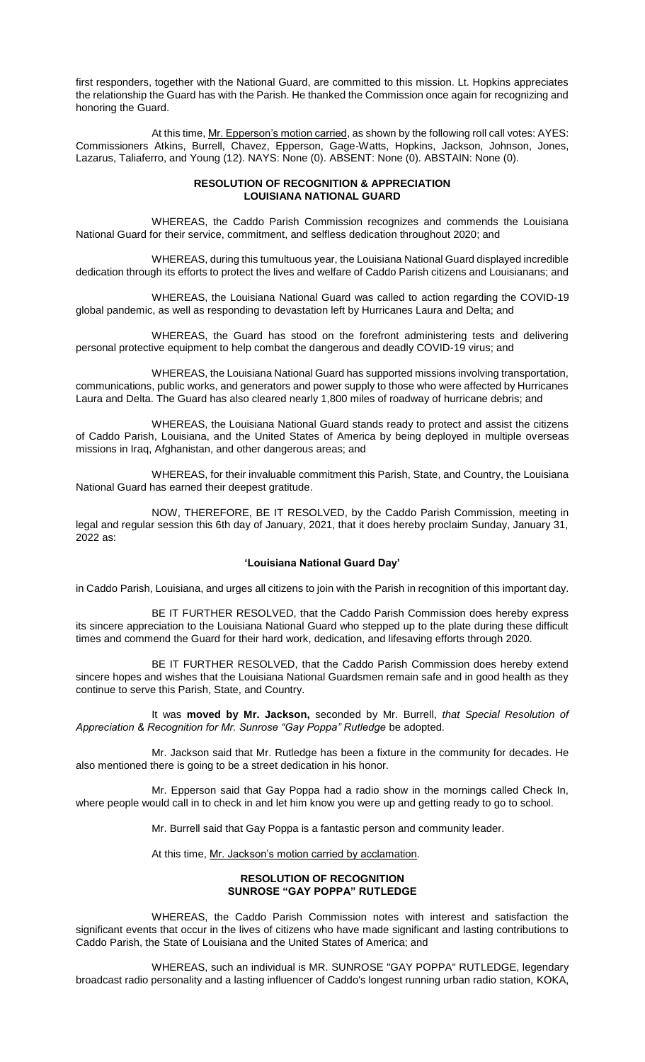first responders, together with the National Guard, are committed to this mission. Lt. Hopkins appreciates the relationship the Guard has with the Parish. He thanked the Commission once again for recognizing and honoring the Guard.

At this time, Mr. Epperson's motion carried, as shown by the following roll call votes: AYES: Commissioners Atkins, Burrell, Chavez, Epperson, Gage-Watts, Hopkins, Jackson, Johnson, Jones, Lazarus, Taliaferro, and Young (12). NAYS: None (0). ABSENT: None (0). ABSTAIN: None (0).

## **RESOLUTION OF RECOGNITION & APPRECIATION LOUISIANA NATIONAL GUARD**

WHEREAS, the Caddo Parish Commission recognizes and commends the Louisiana National Guard for their service, commitment, and selfless dedication throughout 2020; and

WHEREAS, during this tumultuous year, the Louisiana National Guard displayed incredible dedication through its efforts to protect the lives and welfare of Caddo Parish citizens and Louisianans; and

WHEREAS, the Louisiana National Guard was called to action regarding the COVID-19 global pandemic, as well as responding to devastation left by Hurricanes Laura and Delta; and

WHEREAS, the Guard has stood on the forefront administering tests and delivering personal protective equipment to help combat the dangerous and deadly COVID-19 virus; and

WHEREAS, the Louisiana National Guard has supported missions involving transportation, communications, public works, and generators and power supply to those who were affected by Hurricanes Laura and Delta. The Guard has also cleared nearly 1,800 miles of roadway of hurricane debris; and

WHEREAS, the Louisiana National Guard stands ready to protect and assist the citizens of Caddo Parish, Louisiana, and the United States of America by being deployed in multiple overseas missions in Iraq, Afghanistan, and other dangerous areas; and

WHEREAS, for their invaluable commitment this Parish, State, and Country, the Louisiana National Guard has earned their deepest gratitude.

NOW, THEREFORE, BE IT RESOLVED, by the Caddo Parish Commission, meeting in legal and regular session this 6th day of January, 2021, that it does hereby proclaim Sunday, January 31, 2022 as:

### **'Louisiana National Guard Day'**

in Caddo Parish, Louisiana, and urges all citizens to join with the Parish in recognition of this important day.

BE IT FURTHER RESOLVED, that the Caddo Parish Commission does hereby express its sincere appreciation to the Louisiana National Guard who stepped up to the plate during these difficult times and commend the Guard for their hard work, dedication, and lifesaving efforts through 2020.

BE IT FURTHER RESOLVED, that the Caddo Parish Commission does hereby extend sincere hopes and wishes that the Louisiana National Guardsmen remain safe and in good health as they continue to serve this Parish, State, and Country.

It was **moved by Mr. Jackson,** seconded by Mr. Burrell, *that Special Resolution of*  Appreciation & Recognition for Mr. Sunrose "Gay Poppa" Rutledge be adopted.

Mr. Jackson said that Mr. Rutledge has been a fixture in the community for decades. He also mentioned there is going to be a street dedication in his honor.

Mr. Epperson said that Gay Poppa had a radio show in the mornings called Check In, where people would call in to check in and let him know you were up and getting ready to go to school.

Mr. Burrell said that Gay Poppa is a fantastic person and community leader.

At this time, Mr. Jackson's motion carried by acclamation.

## **RESOLUTION OF RECOGNITION SUNROSE "GAY POPPA" RUTLEDGE**

WHEREAS, the Caddo Parish Commission notes with interest and satisfaction the significant events that occur in the lives of citizens who have made significant and lasting contributions to Caddo Parish, the State of Louisiana and the United States of America; and

WHEREAS, such an individual is MR. SUNROSE "GAY POPPA" RUTLEDGE, legendary broadcast radio personality and a lasting influencer of Caddo's longest running urban radio station, KOKA,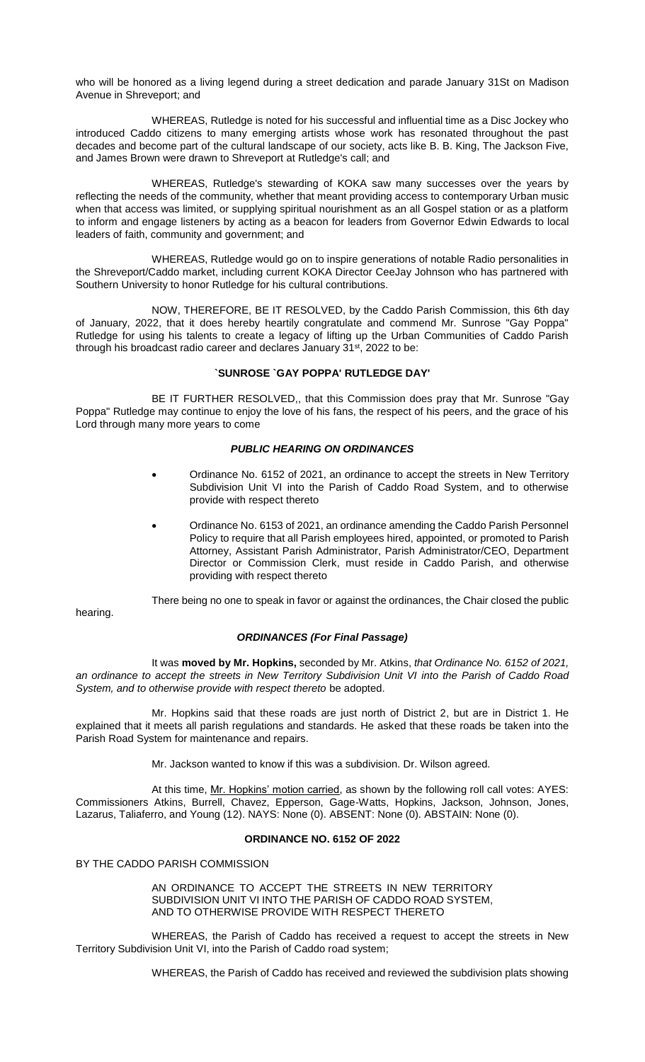who will be honored as a living legend during a street dedication and parade January 31St on Madison Avenue in Shreveport; and

WHEREAS, Rutledge is noted for his successful and influential time as a Disc Jockey who introduced Caddo citizens to many emerging artists whose work has resonated throughout the past decades and become part of the cultural landscape of our society, acts like B. B. King, The Jackson Five, and James Brown were drawn to Shreveport at Rutledge's call; and

WHEREAS, Rutledge's stewarding of KOKA saw many successes over the years by reflecting the needs of the community, whether that meant providing access to contemporary Urban music when that access was limited, or supplying spiritual nourishment as an all Gospel station or as a platform to inform and engage listeners by acting as a beacon for leaders from Governor Edwin Edwards to local leaders of faith, community and government; and

WHEREAS, Rutledge would go on to inspire generations of notable Radio personalities in the Shreveport/Caddo market, including current KOKA Director CeeJay Johnson who has partnered with Southern University to honor Rutledge for his cultural contributions.

NOW, THEREFORE, BE IT RESOLVED, by the Caddo Parish Commission, this 6th day of January, 2022, that it does hereby heartily congratulate and commend Mr. Sunrose "Gay Poppa" Rutledge for using his talents to create a legacy of lifting up the Urban Communities of Caddo Parish through his broadcast radio career and declares January 31<sup>st</sup>, 2022 to be:

## **`SUNROSE `GAY POPPA' RUTLEDGE DAY'**

BE IT FURTHER RESOLVED,, that this Commission does pray that Mr. Sunrose "Gay Poppa" Rutledge may continue to enjoy the love of his fans, the respect of his peers, and the grace of his Lord through many more years to come

## *PUBLIC HEARING ON ORDINANCES*

- Ordinance No. 6152 of 2021, an ordinance to accept the streets in New Territory Subdivision Unit VI into the Parish of Caddo Road System, and to otherwise provide with respect thereto
- Ordinance No. 6153 of 2021, an ordinance amending the Caddo Parish Personnel Policy to require that all Parish employees hired, appointed, or promoted to Parish Attorney, Assistant Parish Administrator, Parish Administrator/CEO, Department Director or Commission Clerk, must reside in Caddo Parish, and otherwise providing with respect thereto

hearing.

There being no one to speak in favor or against the ordinances, the Chair closed the public

## *ORDINANCES (For Final Passage)*

It was **moved by Mr. Hopkins,** seconded by Mr. Atkins, *that Ordinance No. 6152 of 2021, an ordinance to accept the streets in New Territory Subdivision Unit VI into the Parish of Caddo Road System, and to otherwise provide with respect thereto* be adopted.

Mr. Hopkins said that these roads are just north of District 2, but are in District 1. He explained that it meets all parish regulations and standards. He asked that these roads be taken into the Parish Road System for maintenance and repairs.

Mr. Jackson wanted to know if this was a subdivision. Dr. Wilson agreed.

At this time, Mr. Hopkins' motion carried, as shown by the following roll call votes: AYES: Commissioners Atkins, Burrell, Chavez, Epperson, Gage-Watts, Hopkins, Jackson, Johnson, Jones, Lazarus, Taliaferro, and Young (12). NAYS: None (0). ABSENT: None (0). ABSTAIN: None (0).

## **ORDINANCE NO. 6152 OF 2022**

BY THE CADDO PARISH COMMISSION

AN ORDINANCE TO ACCEPT THE STREETS IN NEW TERRITORY SUBDIVISION UNIT VI INTO THE PARISH OF CADDO ROAD SYSTEM, AND TO OTHERWISE PROVIDE WITH RESPECT THERETO

WHEREAS, the Parish of Caddo has received a request to accept the streets in New Territory Subdivision Unit VI, into the Parish of Caddo road system;

WHEREAS, the Parish of Caddo has received and reviewed the subdivision plats showing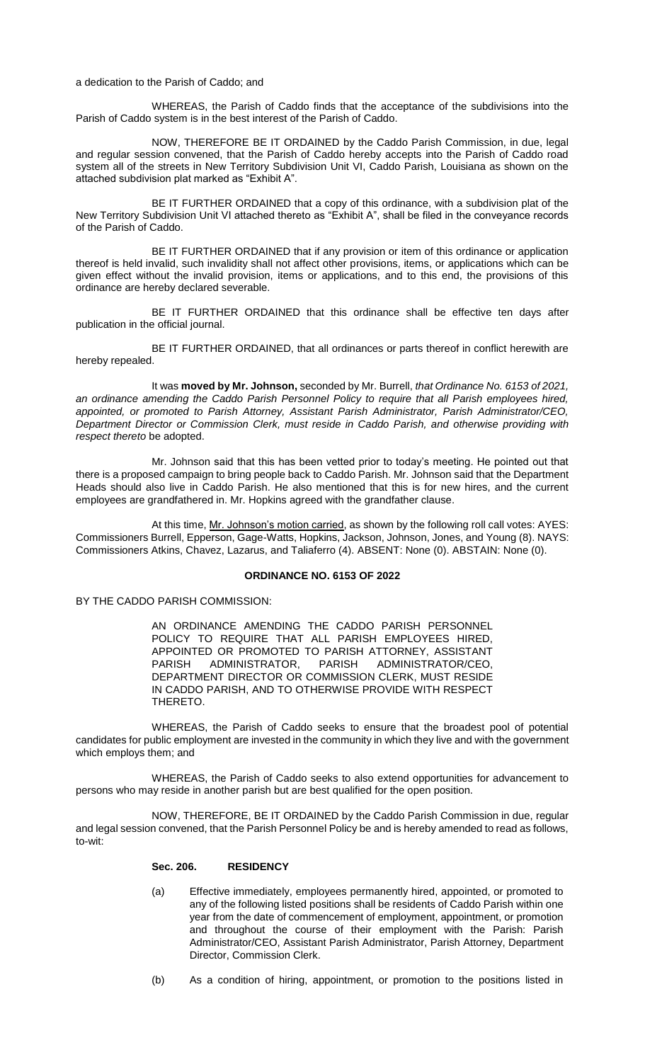a dedication to the Parish of Caddo; and

WHEREAS, the Parish of Caddo finds that the acceptance of the subdivisions into the Parish of Caddo system is in the best interest of the Parish of Caddo.

NOW, THEREFORE BE IT ORDAINED by the Caddo Parish Commission, in due, legal and regular session convened, that the Parish of Caddo hereby accepts into the Parish of Caddo road system all of the streets in New Territory Subdivision Unit VI, Caddo Parish, Louisiana as shown on the attached subdivision plat marked as "Exhibit A".

BE IT FURTHER ORDAINED that a copy of this ordinance, with a subdivision plat of the New Territory Subdivision Unit VI attached thereto as "Exhibit A", shall be filed in the conveyance records of the Parish of Caddo.

BE IT FURTHER ORDAINED that if any provision or item of this ordinance or application thereof is held invalid, such invalidity shall not affect other provisions, items, or applications which can be given effect without the invalid provision, items or applications, and to this end, the provisions of this ordinance are hereby declared severable.

BE IT FURTHER ORDAINED that this ordinance shall be effective ten days after publication in the official journal.

BE IT FURTHER ORDAINED, that all ordinances or parts thereof in conflict herewith are hereby repealed.

It was **moved by Mr. Johnson,** seconded by Mr. Burrell, *that Ordinance No. 6153 of 2021, an ordinance amending the Caddo Parish Personnel Policy to require that all Parish employees hired, appointed, or promoted to Parish Attorney, Assistant Parish Administrator, Parish Administrator/CEO, Department Director or Commission Clerk, must reside in Caddo Parish, and otherwise providing with respect thereto* be adopted.

Mr. Johnson said that this has been vetted prior to today's meeting. He pointed out that there is a proposed campaign to bring people back to Caddo Parish. Mr. Johnson said that the Department Heads should also live in Caddo Parish. He also mentioned that this is for new hires, and the current employees are grandfathered in. Mr. Hopkins agreed with the grandfather clause.

At this time, Mr. Johnson's motion carried, as shown by the following roll call votes: AYES: Commissioners Burrell, Epperson, Gage-Watts, Hopkins, Jackson, Johnson, Jones, and Young (8). NAYS: Commissioners Atkins, Chavez, Lazarus, and Taliaferro (4). ABSENT: None (0). ABSTAIN: None (0).

## **ORDINANCE NO. 6153 OF 2022**

BY THE CADDO PARISH COMMISSION:

AN ORDINANCE AMENDING THE CADDO PARISH PERSONNEL POLICY TO REQUIRE THAT ALL PARISH EMPLOYEES HIRED, APPOINTED OR PROMOTED TO PARISH ATTORNEY, ASSISTANT PARISH ADMINISTRATOR, PARISH ADMINISTRATOR/CEO, DEPARTMENT DIRECTOR OR COMMISSION CLERK, MUST RESIDE IN CADDO PARISH, AND TO OTHERWISE PROVIDE WITH RESPECT THERETO.

WHEREAS, the Parish of Caddo seeks to ensure that the broadest pool of potential candidates for public employment are invested in the community in which they live and with the government which employs them; and

WHEREAS, the Parish of Caddo seeks to also extend opportunities for advancement to persons who may reside in another parish but are best qualified for the open position.

NOW, THEREFORE, BE IT ORDAINED by the Caddo Parish Commission in due, regular and legal session convened, that the Parish Personnel Policy be and is hereby amended to read as follows, to-wit:

# **Sec. 206. RESIDENCY**

- (a) Effective immediately, employees permanently hired, appointed, or promoted to any of the following listed positions shall be residents of Caddo Parish within one year from the date of commencement of employment, appointment, or promotion and throughout the course of their employment with the Parish: Parish Administrator/CEO, Assistant Parish Administrator, Parish Attorney, Department Director, Commission Clerk.
- (b) As a condition of hiring, appointment, or promotion to the positions listed in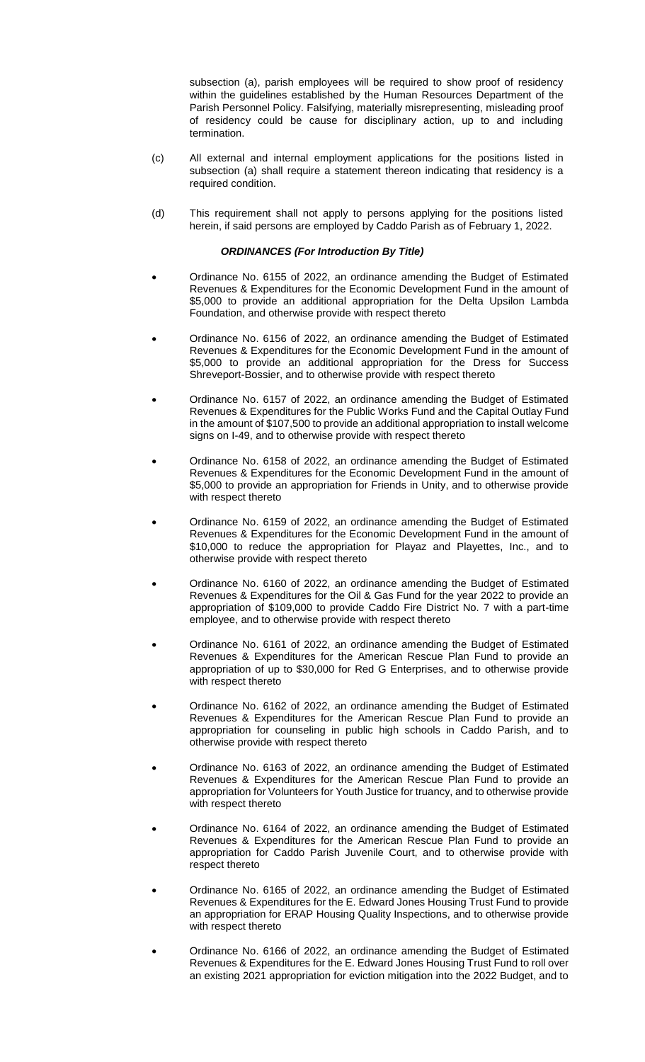subsection (a), parish employees will be required to show proof of residency within the guidelines established by the Human Resources Department of the Parish Personnel Policy. Falsifying, materially misrepresenting, misleading proof of residency could be cause for disciplinary action, up to and including termination.

- (c) All external and internal employment applications for the positions listed in subsection (a) shall require a statement thereon indicating that residency is a required condition.
- (d) This requirement shall not apply to persons applying for the positions listed herein, if said persons are employed by Caddo Parish as of February 1, 2022.

## *ORDINANCES (For Introduction By Title)*

- Ordinance No. 6155 of 2022, an ordinance amending the Budget of Estimated Revenues & Expenditures for the Economic Development Fund in the amount of \$5,000 to provide an additional appropriation for the Delta Upsilon Lambda Foundation, and otherwise provide with respect thereto
- Ordinance No. 6156 of 2022, an ordinance amending the Budget of Estimated Revenues & Expenditures for the Economic Development Fund in the amount of \$5,000 to provide an additional appropriation for the Dress for Success Shreveport-Bossier, and to otherwise provide with respect thereto
- Ordinance No. 6157 of 2022, an ordinance amending the Budget of Estimated Revenues & Expenditures for the Public Works Fund and the Capital Outlay Fund in the amount of \$107,500 to provide an additional appropriation to install welcome signs on I-49, and to otherwise provide with respect thereto
- Ordinance No. 6158 of 2022, an ordinance amending the Budget of Estimated Revenues & Expenditures for the Economic Development Fund in the amount of \$5,000 to provide an appropriation for Friends in Unity, and to otherwise provide with respect thereto
- Ordinance No. 6159 of 2022, an ordinance amending the Budget of Estimated Revenues & Expenditures for the Economic Development Fund in the amount of \$10,000 to reduce the appropriation for Playaz and Playettes, Inc., and to otherwise provide with respect thereto
- Ordinance No. 6160 of 2022, an ordinance amending the Budget of Estimated Revenues & Expenditures for the Oil & Gas Fund for the year 2022 to provide an appropriation of \$109,000 to provide Caddo Fire District No. 7 with a part-time employee, and to otherwise provide with respect thereto
- Ordinance No. 6161 of 2022, an ordinance amending the Budget of Estimated Revenues & Expenditures for the American Rescue Plan Fund to provide an appropriation of up to \$30,000 for Red G Enterprises, and to otherwise provide with respect thereto
- Ordinance No. 6162 of 2022, an ordinance amending the Budget of Estimated Revenues & Expenditures for the American Rescue Plan Fund to provide an appropriation for counseling in public high schools in Caddo Parish, and to otherwise provide with respect thereto
- Ordinance No. 6163 of 2022, an ordinance amending the Budget of Estimated Revenues & Expenditures for the American Rescue Plan Fund to provide an appropriation for Volunteers for Youth Justice for truancy, and to otherwise provide with respect thereto
- Ordinance No. 6164 of 2022, an ordinance amending the Budget of Estimated Revenues & Expenditures for the American Rescue Plan Fund to provide an appropriation for Caddo Parish Juvenile Court, and to otherwise provide with respect thereto
- Ordinance No. 6165 of 2022, an ordinance amending the Budget of Estimated Revenues & Expenditures for the E. Edward Jones Housing Trust Fund to provide an appropriation for ERAP Housing Quality Inspections, and to otherwise provide with respect thereto
- Ordinance No. 6166 of 2022, an ordinance amending the Budget of Estimated Revenues & Expenditures for the E. Edward Jones Housing Trust Fund to roll over an existing 2021 appropriation for eviction mitigation into the 2022 Budget, and to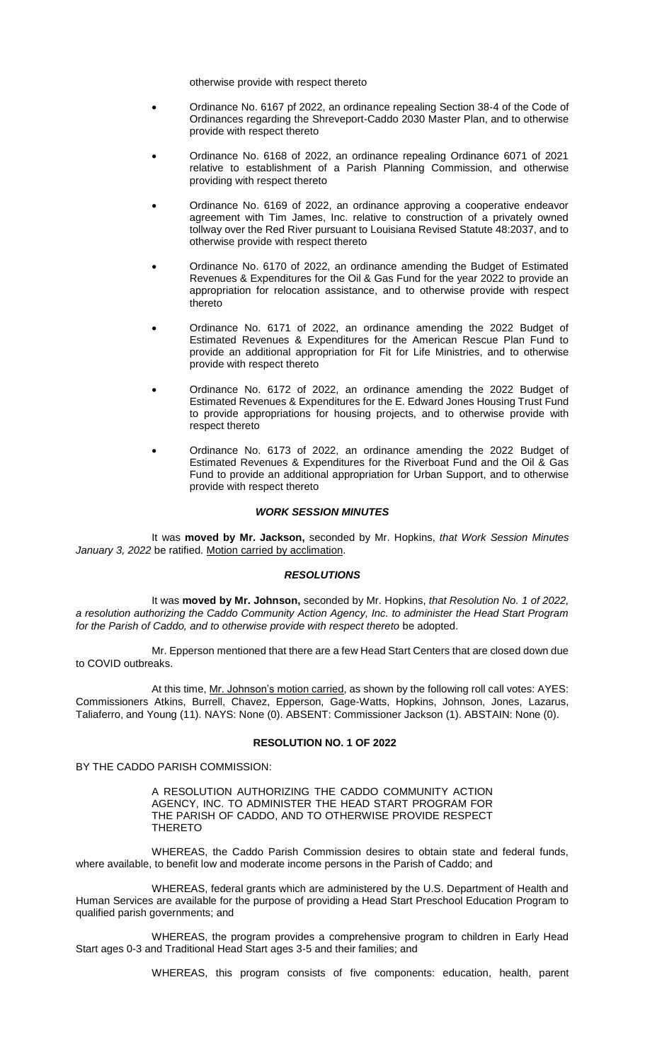otherwise provide with respect thereto

- Ordinance No. 6167 pf 2022, an ordinance repealing Section 38-4 of the Code of Ordinances regarding the Shreveport-Caddo 2030 Master Plan, and to otherwise provide with respect thereto
- Ordinance No. 6168 of 2022, an ordinance repealing Ordinance 6071 of 2021 relative to establishment of a Parish Planning Commission, and otherwise providing with respect thereto
- Ordinance No. 6169 of 2022, an ordinance approving a cooperative endeavor agreement with Tim James, Inc. relative to construction of a privately owned tollway over the Red River pursuant to Louisiana Revised Statute 48:2037, and to otherwise provide with respect thereto
- Ordinance No. 6170 of 2022, an ordinance amending the Budget of Estimated Revenues & Expenditures for the Oil & Gas Fund for the year 2022 to provide an appropriation for relocation assistance, and to otherwise provide with respect thereto
- Ordinance No. 6171 of 2022, an ordinance amending the 2022 Budget of Estimated Revenues & Expenditures for the American Rescue Plan Fund to provide an additional appropriation for Fit for Life Ministries, and to otherwise provide with respect thereto
- Ordinance No. 6172 of 2022, an ordinance amending the 2022 Budget of Estimated Revenues & Expenditures for the E. Edward Jones Housing Trust Fund to provide appropriations for housing projects, and to otherwise provide with respect thereto
- Ordinance No. 6173 of 2022, an ordinance amending the 2022 Budget of Estimated Revenues & Expenditures for the Riverboat Fund and the Oil & Gas Fund to provide an additional appropriation for Urban Support, and to otherwise provide with respect thereto

### *WORK SESSION MINUTES*

It was **moved by Mr. Jackson,** seconded by Mr. Hopkins, *that Work Session Minutes*  January 3, 2022 be ratified. Motion carried by acclimation.

### *RESOLUTIONS*

It was **moved by Mr. Johnson,** seconded by Mr. Hopkins, *that Resolution No. 1 of 2022, a resolution authorizing the Caddo Community Action Agency, Inc. to administer the Head Start Program*  for the Parish of Caddo, and to otherwise provide with respect thereto be adopted.

Mr. Epperson mentioned that there are a few Head Start Centers that are closed down due to COVID outbreaks.

At this time, Mr. Johnson's motion carried, as shown by the following roll call votes: AYES: Commissioners Atkins, Burrell, Chavez, Epperson, Gage-Watts, Hopkins, Johnson, Jones, Lazarus, Taliaferro, and Young (11). NAYS: None (0). ABSENT: Commissioner Jackson (1). ABSTAIN: None (0).

### **RESOLUTION NO. 1 OF 2022**

BY THE CADDO PARISH COMMISSION:

A RESOLUTION AUTHORIZING THE CADDO COMMUNITY ACTION AGENCY, INC. TO ADMINISTER THE HEAD START PROGRAM FOR THE PARISH OF CADDO, AND TO OTHERWISE PROVIDE RESPECT THERETO

WHEREAS, the Caddo Parish Commission desires to obtain state and federal funds, where available, to benefit low and moderate income persons in the Parish of Caddo; and

WHEREAS, federal grants which are administered by the U.S. Department of Health and Human Services are available for the purpose of providing a Head Start Preschool Education Program to qualified parish governments; and

WHEREAS, the program provides a comprehensive program to children in Early Head Start ages 0-3 and Traditional Head Start ages 3-5 and their families; and

WHEREAS, this program consists of five components: education, health, parent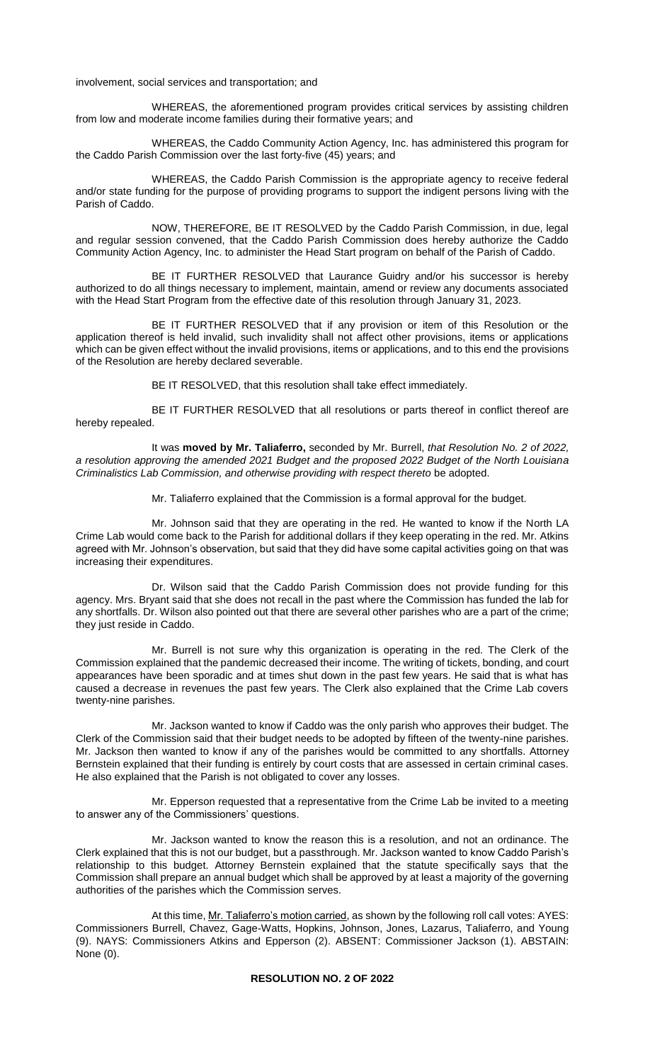involvement, social services and transportation; and

WHEREAS, the aforementioned program provides critical services by assisting children from low and moderate income families during their formative years; and

WHEREAS, the Caddo Community Action Agency, Inc. has administered this program for the Caddo Parish Commission over the last forty-five (45) years; and

WHEREAS, the Caddo Parish Commission is the appropriate agency to receive federal and/or state funding for the purpose of providing programs to support the indigent persons living with the Parish of Caddo.

NOW, THEREFORE, BE IT RESOLVED by the Caddo Parish Commission, in due, legal and regular session convened, that the Caddo Parish Commission does hereby authorize the Caddo Community Action Agency, Inc. to administer the Head Start program on behalf of the Parish of Caddo.

BE IT FURTHER RESOLVED that Laurance Guidry and/or his successor is hereby authorized to do all things necessary to implement, maintain, amend or review any documents associated with the Head Start Program from the effective date of this resolution through January 31, 2023.

BE IT FURTHER RESOLVED that if any provision or item of this Resolution or the application thereof is held invalid, such invalidity shall not affect other provisions, items or applications which can be given effect without the invalid provisions, items or applications, and to this end the provisions of the Resolution are hereby declared severable.

BE IT RESOLVED, that this resolution shall take effect immediately.

BE IT FURTHER RESOLVED that all resolutions or parts thereof in conflict thereof are hereby repealed.

It was **moved by Mr. Taliaferro,** seconded by Mr. Burrell, *that Resolution No. 2 of 2022, a resolution approving the amended 2021 Budget and the proposed 2022 Budget of the North Louisiana Criminalistics Lab Commission, and otherwise providing with respect thereto* be adopted.

Mr. Taliaferro explained that the Commission is a formal approval for the budget.

Mr. Johnson said that they are operating in the red. He wanted to know if the North LA Crime Lab would come back to the Parish for additional dollars if they keep operating in the red. Mr. Atkins agreed with Mr. Johnson's observation, but said that they did have some capital activities going on that was increasing their expenditures.

Dr. Wilson said that the Caddo Parish Commission does not provide funding for this agency. Mrs. Bryant said that she does not recall in the past where the Commission has funded the lab for any shortfalls. Dr. Wilson also pointed out that there are several other parishes who are a part of the crime; they just reside in Caddo.

Mr. Burrell is not sure why this organization is operating in the red. The Clerk of the Commission explained that the pandemic decreased their income. The writing of tickets, bonding, and court appearances have been sporadic and at times shut down in the past few years. He said that is what has caused a decrease in revenues the past few years. The Clerk also explained that the Crime Lab covers twenty-nine parishes.

Mr. Jackson wanted to know if Caddo was the only parish who approves their budget. The Clerk of the Commission said that their budget needs to be adopted by fifteen of the twenty-nine parishes. Mr. Jackson then wanted to know if any of the parishes would be committed to any shortfalls. Attorney Bernstein explained that their funding is entirely by court costs that are assessed in certain criminal cases. He also explained that the Parish is not obligated to cover any losses.

Mr. Epperson requested that a representative from the Crime Lab be invited to a meeting to answer any of the Commissioners' questions.

Mr. Jackson wanted to know the reason this is a resolution, and not an ordinance. The Clerk explained that this is not our budget, but a passthrough. Mr. Jackson wanted to know Caddo Parish's relationship to this budget. Attorney Bernstein explained that the statute specifically says that the Commission shall prepare an annual budget which shall be approved by at least a majority of the governing authorities of the parishes which the Commission serves.

At this time, Mr. Taliaferro's motion carried, as shown by the following roll call votes: AYES: Commissioners Burrell, Chavez, Gage-Watts, Hopkins, Johnson, Jones, Lazarus, Taliaferro, and Young (9). NAYS: Commissioners Atkins and Epperson (2). ABSENT: Commissioner Jackson (1). ABSTAIN: None (0).

# **RESOLUTION NO. 2 OF 2022**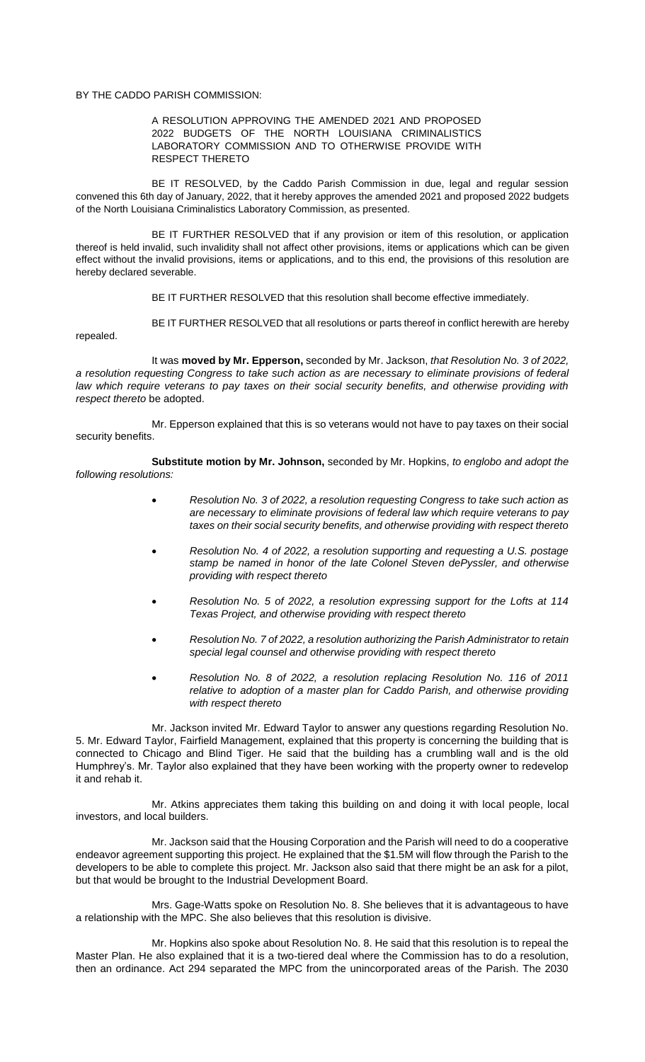BY THE CADDO PARISH COMMISSION:

repealed.

### A RESOLUTION APPROVING THE AMENDED 2021 AND PROPOSED 2022 BUDGETS OF THE NORTH LOUISIANA CRIMINALISTICS LABORATORY COMMISSION AND TO OTHERWISE PROVIDE WITH RESPECT THERETO

BE IT RESOLVED, by the Caddo Parish Commission in due, legal and regular session convened this 6th day of January, 2022, that it hereby approves the amended 2021 and proposed 2022 budgets of the North Louisiana Criminalistics Laboratory Commission, as presented.

BE IT FURTHER RESOLVED that if any provision or item of this resolution, or application thereof is held invalid, such invalidity shall not affect other provisions, items or applications which can be given effect without the invalid provisions, items or applications, and to this end, the provisions of this resolution are hereby declared severable.

BE IT FURTHER RESOLVED that this resolution shall become effective immediately.

BE IT FURTHER RESOLVED that all resolutions or parts thereof in conflict herewith are hereby

It was **moved by Mr. Epperson,** seconded by Mr. Jackson, *that Resolution No. 3 of 2022, a resolution requesting Congress to take such action as are necessary to eliminate provisions of federal*  law which require veterans to pay taxes on their social security benefits, and otherwise providing with *respect thereto* be adopted.

Mr. Epperson explained that this is so veterans would not have to pay taxes on their social security benefits.

**Substitute motion by Mr. Johnson,** seconded by Mr. Hopkins, *to englobo and adopt the following resolutions:* 

- *Resolution No. 3 of 2022, a resolution requesting Congress to take such action as are necessary to eliminate provisions of federal law which require veterans to pay taxes on their social security benefits, and otherwise providing with respect thereto*
- *Resolution No. 4 of 2022, a resolution supporting and requesting a U.S. postage stamp be named in honor of the late Colonel Steven dePyssler, and otherwise providing with respect thereto*
- *Resolution No. 5 of 2022, a resolution expressing support for the Lofts at 114 Texas Project, and otherwise providing with respect thereto*
- *Resolution No. 7 of 2022, a resolution authorizing the Parish Administrator to retain special legal counsel and otherwise providing with respect thereto*
- *Resolution No. 8 of 2022, a resolution replacing Resolution No. 116 of 2011 relative to adoption of a master plan for Caddo Parish, and otherwise providing with respect thereto*

Mr. Jackson invited Mr. Edward Taylor to answer any questions regarding Resolution No. 5. Mr. Edward Taylor, Fairfield Management, explained that this property is concerning the building that is connected to Chicago and Blind Tiger. He said that the building has a crumbling wall and is the old Humphrey's. Mr. Taylor also explained that they have been working with the property owner to redevelop it and rehab it.

Mr. Atkins appreciates them taking this building on and doing it with local people, local investors, and local builders.

Mr. Jackson said that the Housing Corporation and the Parish will need to do a cooperative endeavor agreement supporting this project. He explained that the \$1.5M will flow through the Parish to the developers to be able to complete this project. Mr. Jackson also said that there might be an ask for a pilot, but that would be brought to the Industrial Development Board.

Mrs. Gage-Watts spoke on Resolution No. 8. She believes that it is advantageous to have a relationship with the MPC. She also believes that this resolution is divisive.

Mr. Hopkins also spoke about Resolution No. 8. He said that this resolution is to repeal the Master Plan. He also explained that it is a two-tiered deal where the Commission has to do a resolution, then an ordinance. Act 294 separated the MPC from the unincorporated areas of the Parish. The 2030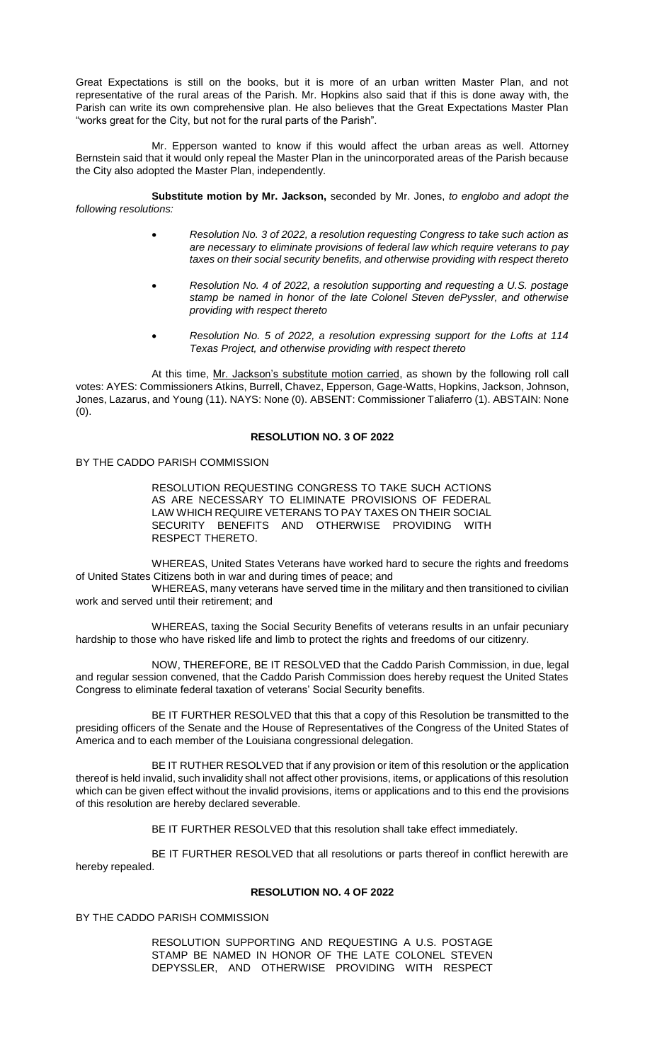Great Expectations is still on the books, but it is more of an urban written Master Plan, and not representative of the rural areas of the Parish. Mr. Hopkins also said that if this is done away with, the Parish can write its own comprehensive plan. He also believes that the Great Expectations Master Plan "works great for the City, but not for the rural parts of the Parish".

Mr. Epperson wanted to know if this would affect the urban areas as well. Attorney Bernstein said that it would only repeal the Master Plan in the unincorporated areas of the Parish because the City also adopted the Master Plan, independently.

**Substitute motion by Mr. Jackson,** seconded by Mr. Jones, *to englobo and adopt the following resolutions:* 

- *Resolution No. 3 of 2022, a resolution requesting Congress to take such action as are necessary to eliminate provisions of federal law which require veterans to pay taxes on their social security benefits, and otherwise providing with respect thereto*
- *Resolution No. 4 of 2022, a resolution supporting and requesting a U.S. postage stamp be named in honor of the late Colonel Steven dePyssler, and otherwise providing with respect thereto*
- *Resolution No. 5 of 2022, a resolution expressing support for the Lofts at 114 Texas Project, and otherwise providing with respect thereto*

At this time, Mr. Jackson's substitute motion carried, as shown by the following roll call votes: AYES: Commissioners Atkins, Burrell, Chavez, Epperson, Gage-Watts, Hopkins, Jackson, Johnson, Jones, Lazarus, and Young (11). NAYS: None (0). ABSENT: Commissioner Taliaferro (1). ABSTAIN: None (0).

## **RESOLUTION NO. 3 OF 2022**

## BY THE CADDO PARISH COMMISSION

RESOLUTION REQUESTING CONGRESS TO TAKE SUCH ACTIONS AS ARE NECESSARY TO ELIMINATE PROVISIONS OF FEDERAL LAW WHICH REQUIRE VETERANS TO PAY TAXES ON THEIR SOCIAL SECURITY BENEFITS AND OTHERWISE PROVIDING WITH RESPECT THERETO.

WHEREAS, United States Veterans have worked hard to secure the rights and freedoms of United States Citizens both in war and during times of peace; and

WHEREAS, many veterans have served time in the military and then transitioned to civilian work and served until their retirement; and

WHEREAS, taxing the Social Security Benefits of veterans results in an unfair pecuniary hardship to those who have risked life and limb to protect the rights and freedoms of our citizenry.

NOW, THEREFORE, BE IT RESOLVED that the Caddo Parish Commission, in due, legal and regular session convened, that the Caddo Parish Commission does hereby request the United States Congress to eliminate federal taxation of veterans' Social Security benefits.

BE IT FURTHER RESOLVED that this that a copy of this Resolution be transmitted to the presiding officers of the Senate and the House of Representatives of the Congress of the United States of America and to each member of the Louisiana congressional delegation.

BE IT RUTHER RESOLVED that if any provision or item of this resolution or the application thereof is held invalid, such invalidity shall not affect other provisions, items, or applications of this resolution which can be given effect without the invalid provisions, items or applications and to this end the provisions of this resolution are hereby declared severable.

BE IT FURTHER RESOLVED that this resolution shall take effect immediately.

BE IT FURTHER RESOLVED that all resolutions or parts thereof in conflict herewith are hereby repealed.

### **RESOLUTION NO. 4 OF 2022**

BY THE CADDO PARISH COMMISSION

RESOLUTION SUPPORTING AND REQUESTING A U.S. POSTAGE STAMP BE NAMED IN HONOR OF THE LATE COLONEL STEVEN DEPYSSLER, AND OTHERWISE PROVIDING WITH RESPECT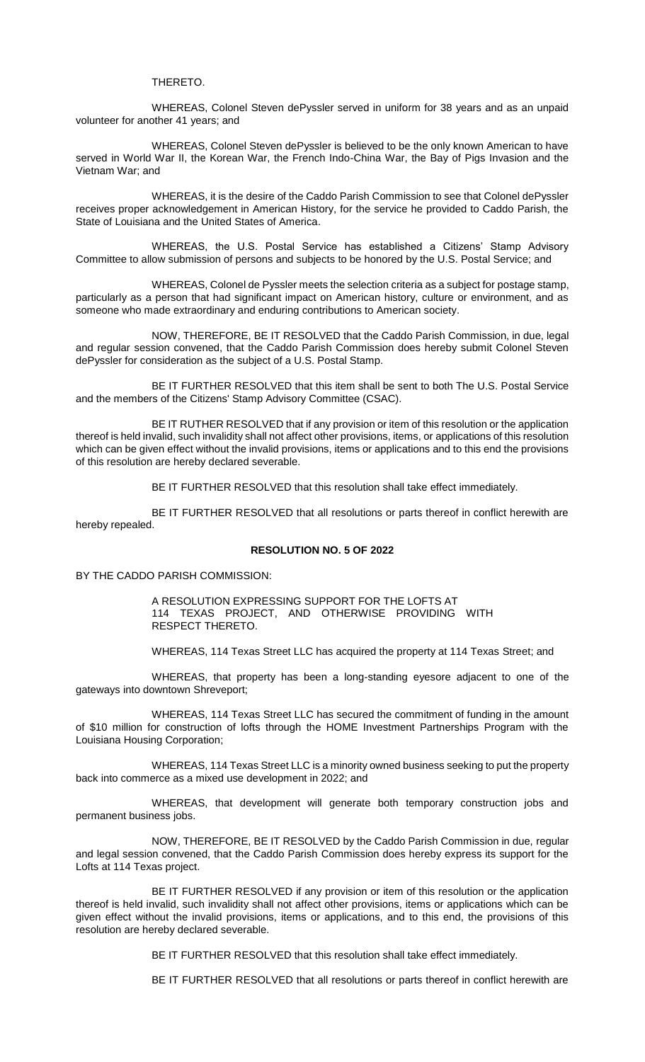THERETO.

WHEREAS, Colonel Steven dePyssler served in uniform for 38 years and as an unpaid volunteer for another 41 years; and

WHEREAS, Colonel Steven dePyssler is believed to be the only known American to have served in World War II, the Korean War, the French Indo-China War, the Bay of Pigs Invasion and the Vietnam War; and

WHEREAS, it is the desire of the Caddo Parish Commission to see that Colonel dePyssler receives proper acknowledgement in American History, for the service he provided to Caddo Parish, the State of Louisiana and the United States of America.

WHEREAS, the U.S. Postal Service has established a Citizens' Stamp Advisory Committee to allow submission of persons and subjects to be honored by the U.S. Postal Service; and

WHEREAS, Colonel de Pyssler meets the selection criteria as a subject for postage stamp, particularly as a person that had significant impact on American history, culture or environment, and as someone who made extraordinary and enduring contributions to American society.

NOW, THEREFORE, BE IT RESOLVED that the Caddo Parish Commission, in due, legal and regular session convened, that the Caddo Parish Commission does hereby submit Colonel Steven dePyssler for consideration as the subject of a U.S. Postal Stamp.

BE IT FURTHER RESOLVED that this item shall be sent to both The U.S. Postal Service and the members of the Citizens' Stamp Advisory Committee (CSAC).

BE IT RUTHER RESOLVED that if any provision or item of this resolution or the application thereof is held invalid, such invalidity shall not affect other provisions, items, or applications of this resolution which can be given effect without the invalid provisions, items or applications and to this end the provisions of this resolution are hereby declared severable.

BE IT FURTHER RESOLVED that this resolution shall take effect immediately.

BE IT FURTHER RESOLVED that all resolutions or parts thereof in conflict herewith are hereby repealed.

## **RESOLUTION NO. 5 OF 2022**

BY THE CADDO PARISH COMMISSION:

A RESOLUTION EXPRESSING SUPPORT FOR THE LOFTS AT 114 TEXAS PROJECT, AND OTHERWISE PROVIDING WITH RESPECT THERETO.

WHEREAS, 114 Texas Street LLC has acquired the property at 114 Texas Street; and

WHEREAS, that property has been a long-standing eyesore adjacent to one of the gateways into downtown Shreveport;

WHEREAS, 114 Texas Street LLC has secured the commitment of funding in the amount of \$10 million for construction of lofts through the HOME Investment Partnerships Program with the Louisiana Housing Corporation;

WHEREAS, 114 Texas Street LLC is a minority owned business seeking to put the property back into commerce as a mixed use development in 2022; and

WHEREAS, that development will generate both temporary construction jobs and permanent business jobs.

NOW, THEREFORE, BE IT RESOLVED by the Caddo Parish Commission in due, regular and legal session convened, that the Caddo Parish Commission does hereby express its support for the Lofts at 114 Texas project.

BE IT FURTHER RESOLVED if any provision or item of this resolution or the application thereof is held invalid, such invalidity shall not affect other provisions, items or applications which can be given effect without the invalid provisions, items or applications, and to this end, the provisions of this resolution are hereby declared severable.

BE IT FURTHER RESOLVED that this resolution shall take effect immediately.

BE IT FURTHER RESOLVED that all resolutions or parts thereof in conflict herewith are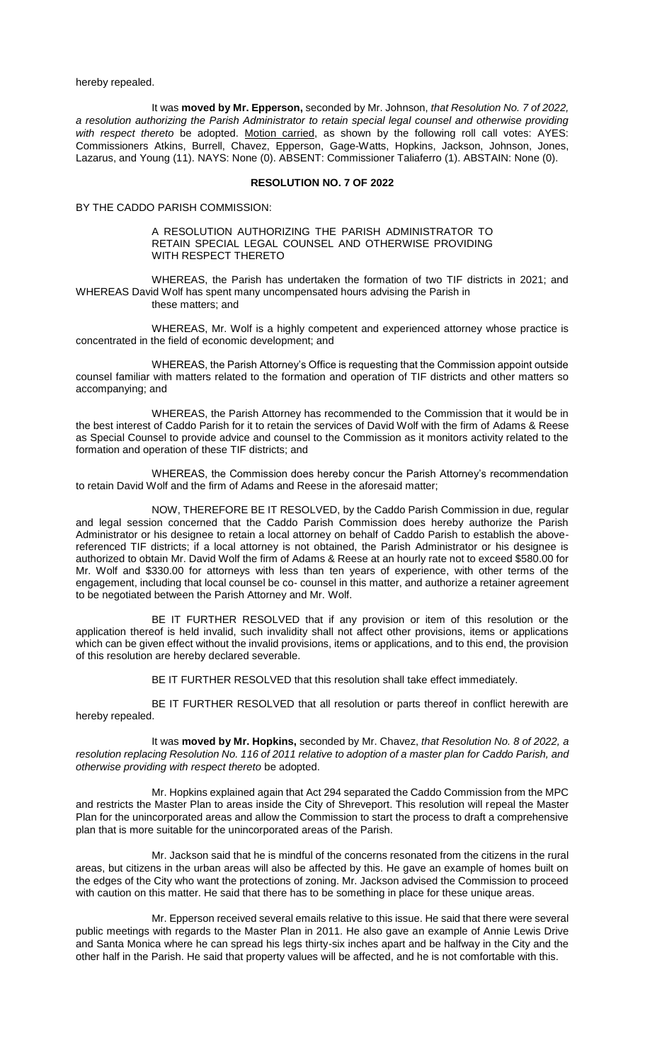hereby repealed.

It was **moved by Mr. Epperson,** seconded by Mr. Johnson, *that Resolution No. 7 of 2022, a resolution authorizing the Parish Administrator to retain special legal counsel and otherwise providing with respect thereto* be adopted. Motion carried, as shown by the following roll call votes: AYES: Commissioners Atkins, Burrell, Chavez, Epperson, Gage-Watts, Hopkins, Jackson, Johnson, Jones, Lazarus, and Young (11). NAYS: None (0). ABSENT: Commissioner Taliaferro (1). ABSTAIN: None (0).

#### **RESOLUTION NO. 7 OF 2022**

BY THE CADDO PARISH COMMISSION:

### A RESOLUTION AUTHORIZING THE PARISH ADMINISTRATOR TO RETAIN SPECIAL LEGAL COUNSEL AND OTHERWISE PROVIDING WITH RESPECT THERETO

WHEREAS, the Parish has undertaken the formation of two TIF districts in 2021; and WHEREAS David Wolf has spent many uncompensated hours advising the Parish in these matters; and

WHEREAS, Mr. Wolf is a highly competent and experienced attorney whose practice is concentrated in the field of economic development; and

WHEREAS, the Parish Attorney's Office is requesting that the Commission appoint outside counsel familiar with matters related to the formation and operation of TIF districts and other matters so accompanying; and

WHEREAS, the Parish Attorney has recommended to the Commission that it would be in the best interest of Caddo Parish for it to retain the services of David Wolf with the firm of Adams & Reese as Special Counsel to provide advice and counsel to the Commission as it monitors activity related to the formation and operation of these TIF districts; and

WHEREAS, the Commission does hereby concur the Parish Attorney's recommendation to retain David Wolf and the firm of Adams and Reese in the aforesaid matter;

NOW, THEREFORE BE IT RESOLVED, by the Caddo Parish Commission in due, regular and legal session concerned that the Caddo Parish Commission does hereby authorize the Parish Administrator or his designee to retain a local attorney on behalf of Caddo Parish to establish the abovereferenced TIF districts; if a local attorney is not obtained, the Parish Administrator or his designee is authorized to obtain Mr. David Wolf the firm of Adams & Reese at an hourly rate not to exceed \$580.00 for Mr. Wolf and \$330.00 for attorneys with less than ten years of experience, with other terms of the engagement, including that local counsel be co- counsel in this matter, and authorize a retainer agreement to be negotiated between the Parish Attorney and Mr. Wolf.

BE IT FURTHER RESOLVED that if any provision or item of this resolution or the application thereof is held invalid, such invalidity shall not affect other provisions, items or applications which can be given effect without the invalid provisions, items or applications, and to this end, the provision of this resolution are hereby declared severable.

BE IT FURTHER RESOLVED that this resolution shall take effect immediately.

BE IT FURTHER RESOLVED that all resolution or parts thereof in conflict herewith are hereby repealed.

It was **moved by Mr. Hopkins,** seconded by Mr. Chavez, *that Resolution No. 8 of 2022, a resolution replacing Resolution No. 116 of 2011 relative to adoption of a master plan for Caddo Parish, and otherwise providing with respect thereto* be adopted.

Mr. Hopkins explained again that Act 294 separated the Caddo Commission from the MPC and restricts the Master Plan to areas inside the City of Shreveport. This resolution will repeal the Master Plan for the unincorporated areas and allow the Commission to start the process to draft a comprehensive plan that is more suitable for the unincorporated areas of the Parish.

Mr. Jackson said that he is mindful of the concerns resonated from the citizens in the rural areas, but citizens in the urban areas will also be affected by this. He gave an example of homes built on the edges of the City who want the protections of zoning. Mr. Jackson advised the Commission to proceed with caution on this matter. He said that there has to be something in place for these unique areas.

Mr. Epperson received several emails relative to this issue. He said that there were several public meetings with regards to the Master Plan in 2011. He also gave an example of Annie Lewis Drive and Santa Monica where he can spread his legs thirty-six inches apart and be halfway in the City and the other half in the Parish. He said that property values will be affected, and he is not comfortable with this.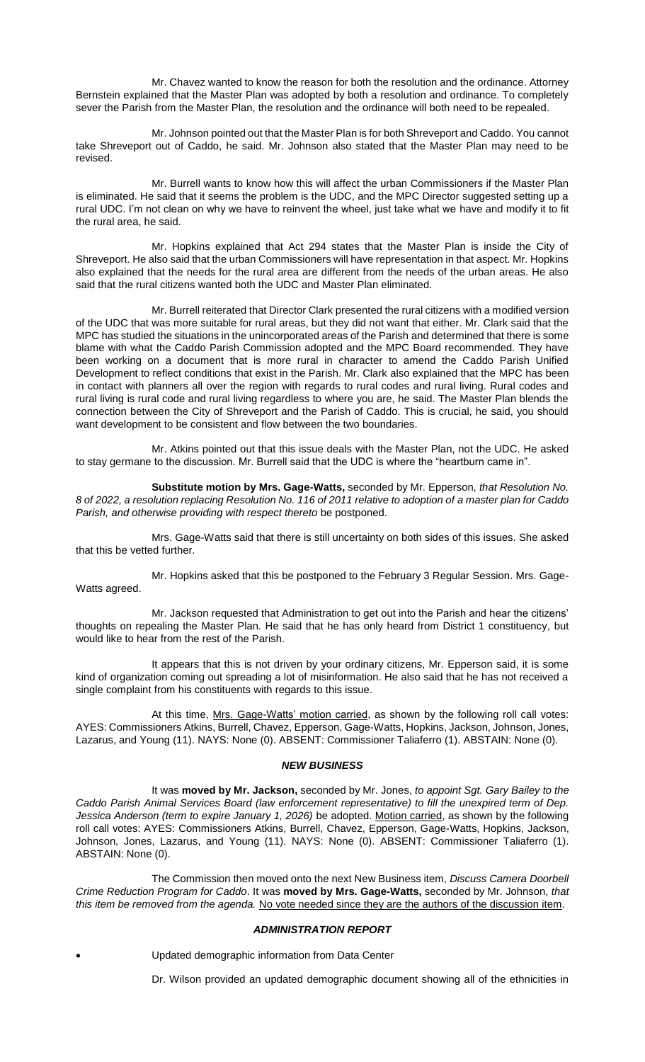Mr. Chavez wanted to know the reason for both the resolution and the ordinance. Attorney Bernstein explained that the Master Plan was adopted by both a resolution and ordinance. To completely sever the Parish from the Master Plan, the resolution and the ordinance will both need to be repealed.

Mr. Johnson pointed out that the Master Plan is for both Shreveport and Caddo. You cannot take Shreveport out of Caddo, he said. Mr. Johnson also stated that the Master Plan may need to be revised.

Mr. Burrell wants to know how this will affect the urban Commissioners if the Master Plan is eliminated. He said that it seems the problem is the UDC, and the MPC Director suggested setting up a rural UDC. I'm not clean on why we have to reinvent the wheel, just take what we have and modify it to fit the rural area, he said.

Mr. Hopkins explained that Act 294 states that the Master Plan is inside the City of Shreveport. He also said that the urban Commissioners will have representation in that aspect. Mr. Hopkins also explained that the needs for the rural area are different from the needs of the urban areas. He also said that the rural citizens wanted both the UDC and Master Plan eliminated.

Mr. Burrell reiterated that Director Clark presented the rural citizens with a modified version of the UDC that was more suitable for rural areas, but they did not want that either. Mr. Clark said that the MPC has studied the situations in the unincorporated areas of the Parish and determined that there is some blame with what the Caddo Parish Commission adopted and the MPC Board recommended. They have been working on a document that is more rural in character to amend the Caddo Parish Unified Development to reflect conditions that exist in the Parish. Mr. Clark also explained that the MPC has been in contact with planners all over the region with regards to rural codes and rural living. Rural codes and rural living is rural code and rural living regardless to where you are, he said. The Master Plan blends the connection between the City of Shreveport and the Parish of Caddo. This is crucial, he said, you should want development to be consistent and flow between the two boundaries.

Mr. Atkins pointed out that this issue deals with the Master Plan, not the UDC. He asked to stay germane to the discussion. Mr. Burrell said that the UDC is where the "heartburn came in".

**Substitute motion by Mrs. Gage-Watts,** seconded by Mr. Epperson, *that Resolution No. 8 of 2022, a resolution replacing Resolution No. 116 of 2011 relative to adoption of a master plan for Caddo Parish, and otherwise providing with respect thereto* be postponed.

Mrs. Gage-Watts said that there is still uncertainty on both sides of this issues. She asked that this be vetted further.

Mr. Hopkins asked that this be postponed to the February 3 Regular Session. Mrs. Gage-Watts agreed.

Mr. Jackson requested that Administration to get out into the Parish and hear the citizens' thoughts on repealing the Master Plan. He said that he has only heard from District 1 constituency, but would like to hear from the rest of the Parish.

It appears that this is not driven by your ordinary citizens, Mr. Epperson said, it is some kind of organization coming out spreading a lot of misinformation. He also said that he has not received a single complaint from his constituents with regards to this issue.

At this time, Mrs. Gage-Watts' motion carried, as shown by the following roll call votes: AYES: Commissioners Atkins, Burrell, Chavez, Epperson, Gage-Watts, Hopkins, Jackson, Johnson, Jones, Lazarus, and Young (11). NAYS: None (0). ABSENT: Commissioner Taliaferro (1). ABSTAIN: None (0).

### *NEW BUSINESS*

It was **moved by Mr. Jackson,** seconded by Mr. Jones, *to appoint Sgt. Gary Bailey to the Caddo Parish Animal Services Board (law enforcement representative) to fill the unexpired term of Dep.*  Jessica Anderson (term to expire January 1, 2026) be adopted. Motion carried, as shown by the following roll call votes: AYES: Commissioners Atkins, Burrell, Chavez, Epperson, Gage-Watts, Hopkins, Jackson, Johnson, Jones, Lazarus, and Young (11). NAYS: None (0). ABSENT: Commissioner Taliaferro (1). ABSTAIN: None (0).

The Commission then moved onto the next New Business item, *Discuss Camera Doorbell Crime Reduction Program for Caddo*. It was **moved by Mrs. Gage-Watts,** seconded by Mr. Johnson, *that*  this item be removed from the agenda. No vote needed since they are the authors of the discussion item.

## *ADMINISTRATION REPORT*

• Updated demographic information from Data Center

Dr. Wilson provided an updated demographic document showing all of the ethnicities in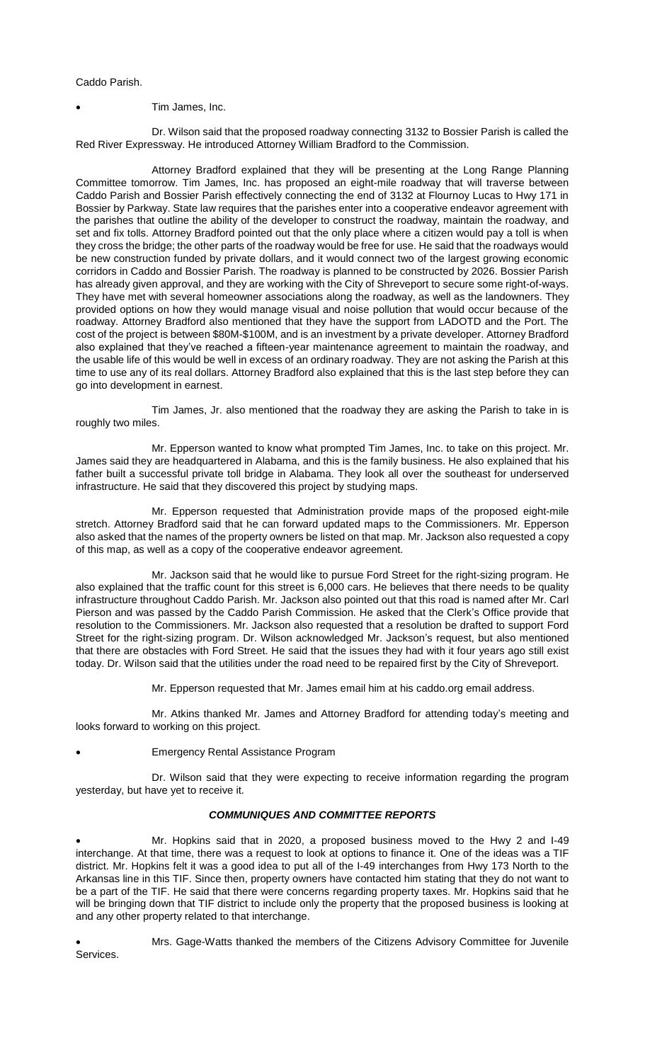Caddo Parish.

• Tim James, Inc.

Dr. Wilson said that the proposed roadway connecting 3132 to Bossier Parish is called the Red River Expressway. He introduced Attorney William Bradford to the Commission.

Attorney Bradford explained that they will be presenting at the Long Range Planning Committee tomorrow. Tim James, Inc. has proposed an eight-mile roadway that will traverse between Caddo Parish and Bossier Parish effectively connecting the end of 3132 at Flournoy Lucas to Hwy 171 in Bossier by Parkway. State law requires that the parishes enter into a cooperative endeavor agreement with the parishes that outline the ability of the developer to construct the roadway, maintain the roadway, and set and fix tolls. Attorney Bradford pointed out that the only place where a citizen would pay a toll is when they cross the bridge; the other parts of the roadway would be free for use. He said that the roadways would be new construction funded by private dollars, and it would connect two of the largest growing economic corridors in Caddo and Bossier Parish. The roadway is planned to be constructed by 2026. Bossier Parish has already given approval, and they are working with the City of Shreveport to secure some right-of-ways. They have met with several homeowner associations along the roadway, as well as the landowners. They provided options on how they would manage visual and noise pollution that would occur because of the roadway. Attorney Bradford also mentioned that they have the support from LADOTD and the Port. The cost of the project is between \$80M-\$100M, and is an investment by a private developer. Attorney Bradford also explained that they've reached a fifteen-year maintenance agreement to maintain the roadway, and the usable life of this would be well in excess of an ordinary roadway. They are not asking the Parish at this time to use any of its real dollars. Attorney Bradford also explained that this is the last step before they can go into development in earnest.

Tim James, Jr. also mentioned that the roadway they are asking the Parish to take in is roughly two miles.

Mr. Epperson wanted to know what prompted Tim James, Inc. to take on this project. Mr. James said they are headquartered in Alabama, and this is the family business. He also explained that his father built a successful private toll bridge in Alabama. They look all over the southeast for underserved infrastructure. He said that they discovered this project by studying maps.

Mr. Epperson requested that Administration provide maps of the proposed eight-mile stretch. Attorney Bradford said that he can forward updated maps to the Commissioners. Mr. Epperson also asked that the names of the property owners be listed on that map. Mr. Jackson also requested a copy of this map, as well as a copy of the cooperative endeavor agreement.

Mr. Jackson said that he would like to pursue Ford Street for the right-sizing program. He also explained that the traffic count for this street is 6,000 cars. He believes that there needs to be quality infrastructure throughout Caddo Parish. Mr. Jackson also pointed out that this road is named after Mr. Carl Pierson and was passed by the Caddo Parish Commission. He asked that the Clerk's Office provide that resolution to the Commissioners. Mr. Jackson also requested that a resolution be drafted to support Ford Street for the right-sizing program. Dr. Wilson acknowledged Mr. Jackson's request, but also mentioned that there are obstacles with Ford Street. He said that the issues they had with it four years ago still exist today. Dr. Wilson said that the utilities under the road need to be repaired first by the City of Shreveport.

Mr. Epperson requested that Mr. James email him at his caddo.org email address.

Mr. Atkins thanked Mr. James and Attorney Bradford for attending today's meeting and looks forward to working on this project.

• Emergency Rental Assistance Program

Dr. Wilson said that they were expecting to receive information regarding the program yesterday, but have yet to receive it.

## *COMMUNIQUES AND COMMITTEE REPORTS*

• Mr. Hopkins said that in 2020, a proposed business moved to the Hwy 2 and I-49 interchange. At that time, there was a request to look at options to finance it. One of the ideas was a TIF district. Mr. Hopkins felt it was a good idea to put all of the I-49 interchanges from Hwy 173 North to the Arkansas line in this TIF. Since then, property owners have contacted him stating that they do not want to be a part of the TIF. He said that there were concerns regarding property taxes. Mr. Hopkins said that he will be bringing down that TIF district to include only the property that the proposed business is looking at and any other property related to that interchange.

• Mrs. Gage-Watts thanked the members of the Citizens Advisory Committee for Juvenile Services.